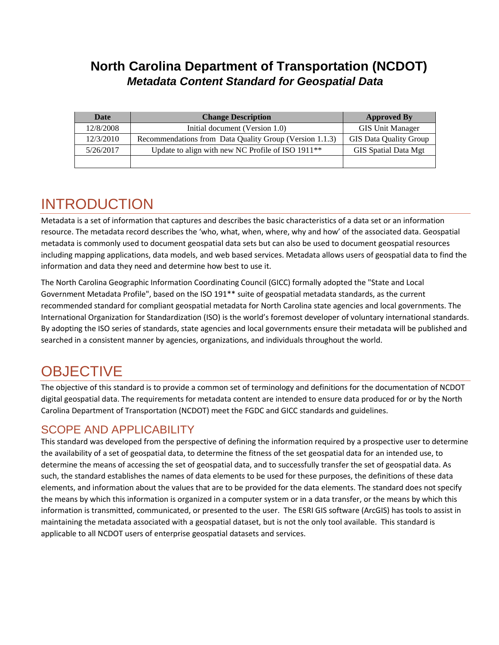## **North Carolina Department of Transportation (NCDOT)** *Metadata Content Standard for Geospatial Data*

| Date      | <b>Change Description</b>                                     | <b>Approved By</b>            |
|-----------|---------------------------------------------------------------|-------------------------------|
| 12/8/2008 | Initial document (Version 1.0)                                | <b>GIS Unit Manager</b>       |
| 12/3/2010 | Recommendations from Data Quality Group (Version 1.1.3)       | <b>GIS Data Quality Group</b> |
| 5/26/2017 | Update to align with new NC Profile of ISO 1911 <sup>**</sup> | <b>GIS</b> Spatial Data Mgt   |
|           |                                                               |                               |

# INTRODUCTION

Metadata is a set of information that captures and describes the basic characteristics of a data set or an information resource. The metadata record describes the 'who, what, when, where, why and how' of the associated data. Geospatial metadata is commonly used to document geospatial data sets but can also be used to document geospatial resources including mapping applications, data models, and web based services. Metadata allows users of geospatial data to find the information and data they need and determine how best to use it.

The North Carolina Geographic Information Coordinating Council (GICC) formally adopted the "State and Local Government Metadata Profile", based on the ISO 191\*\* suite of geospatial metadata standards, as the current recommended standard for compliant geospatial metadata for North Carolina state agencies and local governments. The International Organization for Standardization (ISO) is the world's foremost developer of voluntary international standards. By adopting the ISO series of standards, state agencies and local governments ensure their metadata will be published and searched in a consistent manner by agencies, organizations, and individuals throughout the world.

# **OBJECTIVE**

The objective of this standard is to provide a common set of terminology and definitions for the documentation of NCDOT digital geospatial data. The requirements for metadata content are intended to ensure data produced for or by the North Carolina Department of Transportation (NCDOT) meet the FGDC and GICC standards and guidelines.

### SCOPE AND APPLICABILITY

This standard was developed from the perspective of defining the information required by a prospective user to determine the availability of a set of geospatial data, to determine the fitness of the set geospatial data for an intended use, to determine the means of accessing the set of geospatial data, and to successfully transfer the set of geospatial data. As such, the standard establishes the names of data elements to be used for these purposes, the definitions of these data elements, and information about the values that are to be provided for the data elements. The standard does not specify the means by which this information is organized in a computer system or in a data transfer, or the means by which this information is transmitted, communicated, or presented to the user. The ESRI GIS software (ArcGIS) has tools to assist in maintaining the metadata associated with a geospatial dataset, but is not the only tool available. This standard is applicable to all NCDOT users of enterprise geospatial datasets and services.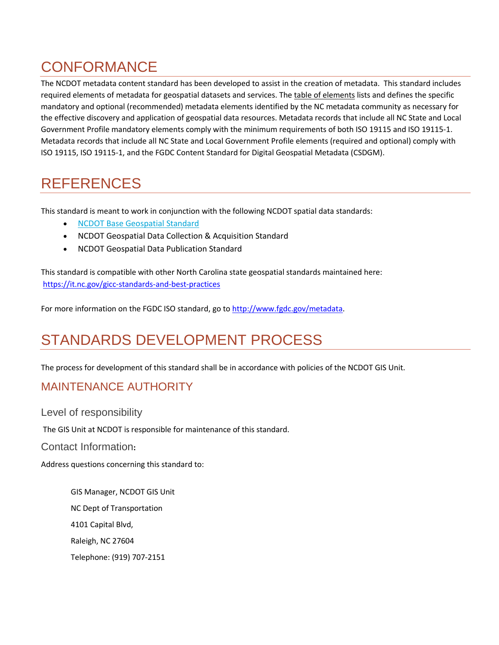# **CONFORMANCE**

The NCDOT metadata content standard has been developed to assist in the creation of metadata. This standard includes required elements of metadata for geospatial datasets and services. The table of elements lists and defines the specific mandatory and optional (recommended) metadata elements identified by the NC metadata community as necessary for the effective discovery and application of geospatial data resources. Metadata records that include all NC State and Local Government Profile mandatory elements comply with the minimum requirements of both ISO 19115 and ISO 19115-1. Metadata records that include all NC State and Local Government Profile elements (required and optional) comply with ISO 19115, ISO 19115-1, and the FGDC Content Standard for Digital Geospatial Metadata (CSDGM).

# REFERENCES

This standard is meant to work in conjunction with the following NCDOT spatial data standards:

- [NCDOT Base Geospatial Standard](http://dotw-xfer01.dot.state.nc.us/gisdot/GISStandardsAndPractices/NCDOT%20Base%20Geospatial%20Standard.pdf)
- NCDOT Geospatial Data Collection & Acquisition Standard
- NCDOT Geospatial Data Publication Standard

This standard is compatible with other North Carolina state geospatial standards maintained here: https://it.nc.gov/gicc-standards-and-best-practices

For more information on the FGDC ISO standard, go to http://www.fgdc.gov/metadata.

# STANDARDS DEVELOPMENT PROCESS

The process for development of this standard shall be in accordance with policies of the NCDOT GIS Unit.

## MAINTENANCE AUTHORITY

Level of responsibility

The GIS Unit at NCDOT is responsible for maintenance of this standard.

Contact Information**:**

Address questions concerning this standard to:

GIS Manager, NCDOT GIS Unit NC Dept of Transportation 4101 Capital Blvd, Raleigh, NC 27604 Telephone: (919) 707-2151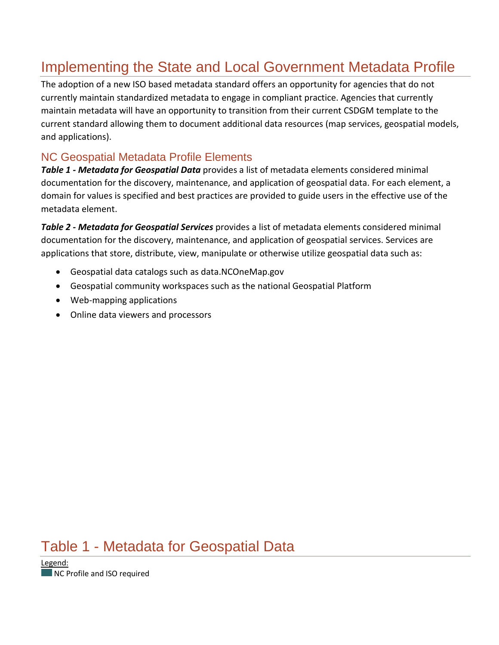# Implementing the State and Local Government Metadata Profile

The adoption of a new ISO based metadata standard offers an opportunity for agencies that do not currently maintain standardized metadata to engage in compliant practice. Agencies that currently maintain metadata will have an opportunity to transition from their current CSDGM template to the current standard allowing them to document additional data resources (map services, geospatial models, and applications).

## NC Geospatial Metadata Profile Elements

*Table 1 - Metadata for Geospatial Data* provides a list of metadata elements considered minimal documentation for the discovery, maintenance, and application of geospatial data. For each element, a domain for values is specified and best practices are provided to guide users in the effective use of the metadata element.

*Table 2 - Metadata for Geospatial Services* provides a list of metadata elements considered minimal documentation for the discovery, maintenance, and application of geospatial services. Services are applications that store, distribute, view, manipulate or otherwise utilize geospatial data such as:

- Geospatial data catalogs such as data.NCOneMap.gov
- Geospatial community workspaces such as the national Geospatial Platform
- Web-mapping applications
- Online data viewers and processors

# Table 1 - Metadata for Geospatial Data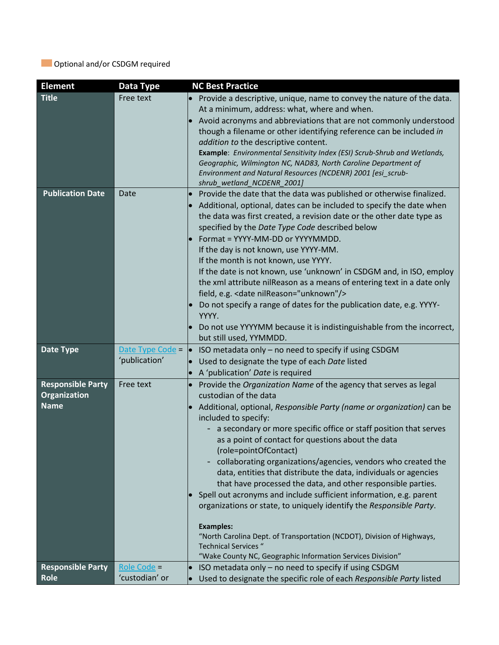### **Optional and/or CSDGM required**

| <b>Element</b>           | Data Type                         | <b>NC Best Practice</b>                                                                                                           |
|--------------------------|-----------------------------------|-----------------------------------------------------------------------------------------------------------------------------------|
| <b>Title</b>             | Free text                         | Provide a descriptive, unique, name to convey the nature of the data.                                                             |
|                          |                                   | At a minimum, address: what, where and when.                                                                                      |
|                          |                                   | Avoid acronyms and abbreviations that are not commonly understood                                                                 |
|                          |                                   | though a filename or other identifying reference can be included in                                                               |
|                          |                                   | addition to the descriptive content.                                                                                              |
|                          |                                   | Example: Environmental Sensitivity Index (ESI) Scrub-Shrub and Wetlands,                                                          |
|                          |                                   | Geographic, Wilmington NC, NAD83, North Caroline Department of<br>Environment and Natural Resources (NCDENR) 2001 [esi_scrub-     |
|                          |                                   | shrub_wetland_NCDENR_2001]                                                                                                        |
| <b>Publication Date</b>  | Date                              | Provide the date that the data was published or otherwise finalized.                                                              |
|                          |                                   | Additional, optional, dates can be included to specify the date when                                                              |
|                          |                                   | the data was first created, a revision date or the other date type as                                                             |
|                          |                                   | specified by the Date Type Code described below                                                                                   |
|                          |                                   | Format = YYYY-MM-DD or YYYYMMDD.                                                                                                  |
|                          |                                   | If the day is not known, use YYYY-MM.                                                                                             |
|                          |                                   | If the month is not known, use YYYY.                                                                                              |
|                          |                                   | If the date is not known, use 'unknown' in CSDGM and, in ISO, employ                                                              |
|                          |                                   | the xml attribute nilReason as a means of entering text in a date only                                                            |
|                          |                                   | field, e.g. < date nilReason="unknown"/>                                                                                          |
|                          |                                   | Do not specify a range of dates for the publication date, e.g. YYYY-                                                              |
|                          |                                   | YYYY.                                                                                                                             |
|                          |                                   | Do not use YYYYMM because it is indistinguishable from the incorrect,                                                             |
|                          |                                   | but still used, YYMMDD.                                                                                                           |
| Date Type                | Date Type Code =<br>'publication' | ISO metadata only - no need to specify if using CSDGM<br>$\bullet$<br>Used to designate the type of each Date listed<br>$\bullet$ |
|                          |                                   | A 'publication' Date is required                                                                                                  |
| <b>Responsible Party</b> | Free text                         | Provide the Organization Name of the agency that serves as legal<br>$\bullet$                                                     |
| Organization             |                                   | custodian of the data                                                                                                             |
| <b>Name</b>              |                                   | Additional, optional, Responsible Party (name or organization) can be                                                             |
|                          |                                   | included to specify:                                                                                                              |
|                          |                                   | a secondary or more specific office or staff position that serves                                                                 |
|                          |                                   | as a point of contact for questions about the data                                                                                |
|                          |                                   | (role=pointOfContact)                                                                                                             |
|                          |                                   | collaborating organizations/agencies, vendors who created the                                                                     |
|                          |                                   | data, entities that distribute the data, individuals or agencies                                                                  |
|                          |                                   | that have processed the data, and other responsible parties.                                                                      |
|                          |                                   | Spell out acronyms and include sufficient information, e.g. parent                                                                |
|                          |                                   | organizations or state, to uniquely identify the Responsible Party.                                                               |
|                          |                                   | <b>Examples:</b>                                                                                                                  |
|                          |                                   | "North Carolina Dept. of Transportation (NCDOT), Division of Highways,                                                            |
|                          |                                   | <b>Technical Services "</b>                                                                                                       |
|                          |                                   | "Wake County NC, Geographic Information Services Division"                                                                        |
| <b>Responsible Party</b> | Role Code =                       | ISO metadata only - no need to specify if using CSDGM                                                                             |
| Role                     | 'custodian' or                    | Used to designate the specific role of each Responsible Party listed                                                              |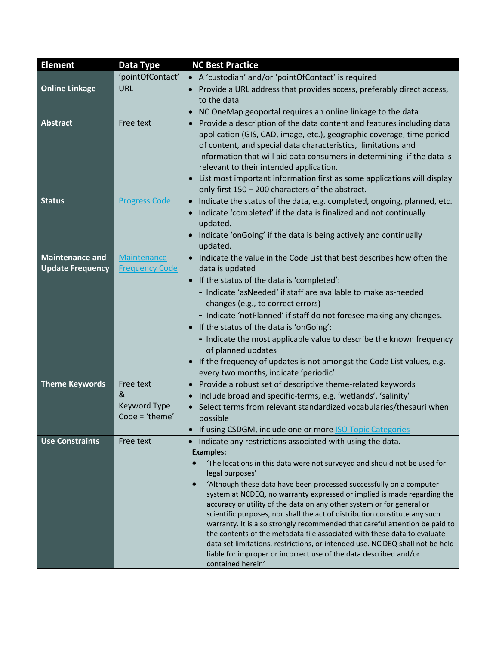| <b>Element</b>          | Data Type                               | <b>NC Best Practice</b>                                                                                                                                                                                                                                                                                                                                                                                                                                                                                                                           |
|-------------------------|-----------------------------------------|---------------------------------------------------------------------------------------------------------------------------------------------------------------------------------------------------------------------------------------------------------------------------------------------------------------------------------------------------------------------------------------------------------------------------------------------------------------------------------------------------------------------------------------------------|
|                         | 'pointOfContact'                        | • A 'custodian' and/or 'pointOfContact' is required                                                                                                                                                                                                                                                                                                                                                                                                                                                                                               |
| <b>Online Linkage</b>   | URL                                     | Provide a URL address that provides access, preferably direct access,                                                                                                                                                                                                                                                                                                                                                                                                                                                                             |
|                         |                                         | to the data                                                                                                                                                                                                                                                                                                                                                                                                                                                                                                                                       |
|                         |                                         | NC OneMap geoportal requires an online linkage to the data                                                                                                                                                                                                                                                                                                                                                                                                                                                                                        |
| <b>Abstract</b>         | Free text                               | Provide a description of the data content and features including data<br>application (GIS, CAD, image, etc.), geographic coverage, time period<br>of content, and special data characteristics, limitations and<br>information that will aid data consumers in determining if the data is<br>relevant to their intended application.<br>List most important information first as some applications will display                                                                                                                                   |
|                         |                                         | only first 150 - 200 characters of the abstract.                                                                                                                                                                                                                                                                                                                                                                                                                                                                                                  |
| <b>Status</b>           | <b>Progress Code</b>                    | Indicate the status of the data, e.g. completed, ongoing, planned, etc.<br>$\bullet$<br>Indicate 'completed' if the data is finalized and not continually<br>updated.<br>Indicate 'onGoing' if the data is being actively and continually<br>updated.                                                                                                                                                                                                                                                                                             |
| <b>Maintenance and</b>  | <b>Maintenance</b>                      | Indicate the value in the Code List that best describes how often the<br>$\bullet$                                                                                                                                                                                                                                                                                                                                                                                                                                                                |
| <b>Update Frequency</b> | <b>Frequency Code</b>                   | data is updated                                                                                                                                                                                                                                                                                                                                                                                                                                                                                                                                   |
|                         |                                         | $\bullet$ If the status of the data is 'completed':                                                                                                                                                                                                                                                                                                                                                                                                                                                                                               |
|                         |                                         | - Indicate 'asNeeded' if staff are available to make as-needed<br>changes (e.g., to correct errors)<br>- Indicate 'notPlanned' if staff do not foresee making any changes.<br>$\bullet$ If the status of the data is 'onGoing':<br>- Indicate the most applicable value to describe the known frequency<br>of planned updates<br>If the frequency of updates is not amongst the Code List values, e.g.<br>every two months, indicate 'periodic'                                                                                                   |
| <b>Theme Keywords</b>   | Free text                               | Provide a robust set of descriptive theme-related keywords<br>$\bullet$                                                                                                                                                                                                                                                                                                                                                                                                                                                                           |
|                         | &                                       | Include broad and specific-terms, e.g. 'wetlands', 'salinity'                                                                                                                                                                                                                                                                                                                                                                                                                                                                                     |
|                         | <b>Keyword Type</b><br>$Code = 'thene'$ | Select terms from relevant standardized vocabularies/thesauri when                                                                                                                                                                                                                                                                                                                                                                                                                                                                                |
|                         |                                         | possible<br>If using CSDGM, include one or more <b>ISO Topic Categories</b><br>$\bullet$                                                                                                                                                                                                                                                                                                                                                                                                                                                          |
| <b>Use Constraints</b>  | Free text                               | Indicate any restrictions associated with using the data.<br>$\bullet$                                                                                                                                                                                                                                                                                                                                                                                                                                                                            |
|                         |                                         | <b>Examples:</b>                                                                                                                                                                                                                                                                                                                                                                                                                                                                                                                                  |
|                         |                                         | 'The locations in this data were not surveyed and should not be used for<br>legal purposes'                                                                                                                                                                                                                                                                                                                                                                                                                                                       |
|                         |                                         | 'Although these data have been processed successfully on a computer<br>system at NCDEQ, no warranty expressed or implied is made regarding the<br>accuracy or utility of the data on any other system or for general or<br>scientific purposes, nor shall the act of distribution constitute any such<br>warranty. It is also strongly recommended that careful attention be paid to<br>the contents of the metadata file associated with these data to evaluate<br>data set limitations, restrictions, or intended use. NC DEQ shall not be held |
|                         |                                         | liable for improper or incorrect use of the data described and/or<br>contained herein'                                                                                                                                                                                                                                                                                                                                                                                                                                                            |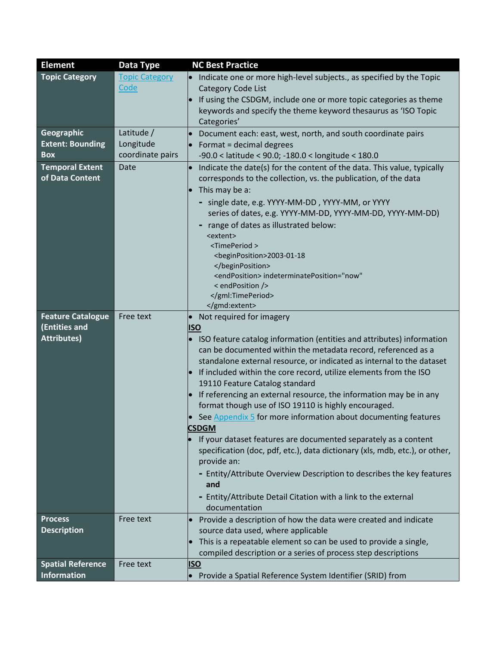| <b>Element</b>           | Data Type             | <b>NC Best Practice</b>                                                           |
|--------------------------|-----------------------|-----------------------------------------------------------------------------------|
| <b>Topic Category</b>    | <b>Topic Category</b> | Indicate one or more high-level subjects., as specified by the Topic<br>$\bullet$ |
|                          | Code                  | <b>Category Code List</b>                                                         |
|                          |                       | If using the CSDGM, include one or more topic categories as theme<br>$\bullet$    |
|                          |                       | keywords and specify the theme keyword thesaurus as 'ISO Topic                    |
|                          |                       | Categories'                                                                       |
| <b>Geographic</b>        | Latitude /            | Document each: east, west, north, and south coordinate pairs                      |
| <b>Extent: Bounding</b>  | Longitude             | Format = decimal degrees                                                          |
| <b>Box</b>               | coordinate pairs      | $-90.0 <$ latitude < 90.0; $-180.0 <$ longitude < 180.0                           |
| <b>Temporal Extent</b>   | Date                  | Indicate the date(s) for the content of the data. This value, typically           |
| of Data Content          |                       | corresponds to the collection, vs. the publication, of the data                   |
|                          |                       | This may be a:                                                                    |
|                          |                       | - single date, e.g. YYYY-MM-DD, YYYY-MM, or YYYY                                  |
|                          |                       | series of dates, e.g. YYYY-MM-DD, YYYY-MM-DD, YYYY-MM-DD)                         |
|                          |                       | range of dates as illustrated below:                                              |
|                          |                       | <extent><br/><timeperiod></timeperiod></extent>                                   |
|                          |                       | <beginposition>2003-01-18</beginposition>                                         |
|                          |                       |                                                                                   |
|                          |                       | <endposition> indeterminatePosition="now"</endposition>                           |
|                          |                       | < endPosition />                                                                  |
|                          |                       |                                                                                   |
| <b>Feature Catalogue</b> |                       |                                                                                   |
| (Entities and            | Free text             | • Not required for imagery<br><b>ISO</b>                                          |
| <b>Attributes)</b>       |                       | • ISO feature catalog information (entities and attributes) information           |
|                          |                       | can be documented within the metadata record, referenced as a                     |
|                          |                       | standalone external resource, or indicated as internal to the dataset             |
|                          |                       | If included within the core record, utilize elements from the ISO<br>$\bullet$    |
|                          |                       | 19110 Feature Catalog standard                                                    |
|                          |                       | If referencing an external resource, the information may be in any<br>$\bullet$   |
|                          |                       | format though use of ISO 19110 is highly encouraged.                              |
|                          |                       | See Appendix 5 for more information about documenting features                    |
|                          |                       | <b>CSDGM</b>                                                                      |
|                          |                       | If your dataset features are documented separately as a content                   |
|                          |                       | specification (doc, pdf, etc.), data dictionary (xls, mdb, etc.), or other,       |
|                          |                       | provide an:                                                                       |
|                          |                       | - Entity/Attribute Overview Description to describes the key features             |
|                          |                       | and                                                                               |
|                          |                       | - Entity/Attribute Detail Citation with a link to the external                    |
|                          |                       | documentation                                                                     |
| <b>Process</b>           | Free text             | Provide a description of how the data were created and indicate                   |
| <b>Description</b>       |                       | source data used, where applicable                                                |
|                          |                       | This is a repeatable element so can be used to provide a single,                  |
| <b>Spatial Reference</b> | Free text             | compiled description or a series of process step descriptions<br><b>ISO</b>       |
| <b>Information</b>       |                       | Provide a Spatial Reference System Identifier (SRID) from                         |
|                          |                       |                                                                                   |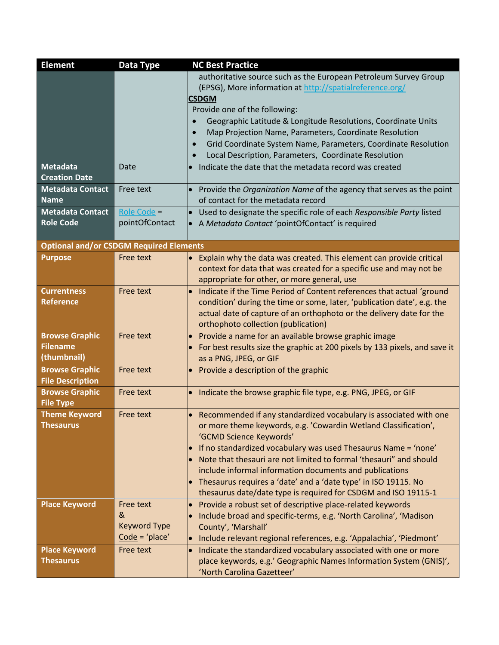| <b>Element</b>                                 | Data Type                               | <b>NC Best Practice</b>                                                            |
|------------------------------------------------|-----------------------------------------|------------------------------------------------------------------------------------|
|                                                |                                         | authoritative source such as the European Petroleum Survey Group                   |
|                                                |                                         | (EPSG), More information at http://spatialreference.org/                           |
|                                                |                                         | <b>CSDGM</b>                                                                       |
|                                                |                                         | Provide one of the following:                                                      |
|                                                |                                         | Geographic Latitude & Longitude Resolutions, Coordinate Units                      |
|                                                |                                         | Map Projection Name, Parameters, Coordinate Resolution                             |
|                                                |                                         | Grid Coordinate System Name, Parameters, Coordinate Resolution                     |
|                                                |                                         | Local Description, Parameters, Coordinate Resolution                               |
| <b>Metadata</b>                                | Date                                    | Indicate the date that the metadata record was created                             |
| <b>Creation Date</b>                           |                                         |                                                                                    |
| <b>Metadata Contact</b>                        | Free text                               | Provide the Organization Name of the agency that serves as the point               |
| <b>Name</b>                                    |                                         | of contact for the metadata record                                                 |
| <b>Metadata Contact</b>                        | Role Code =                             | Used to designate the specific role of each Responsible Party listed<br>$\bullet$  |
| <b>Role Code</b>                               | pointOfContact                          | A Metadata Contact 'pointOfContact' is required<br>$\bullet$                       |
|                                                |                                         |                                                                                    |
| <b>Optional and/or CSDGM Required Elements</b> |                                         |                                                                                    |
| <b>Purpose</b>                                 | Free text                               | Explain why the data was created. This element can provide critical<br>$\bullet$   |
|                                                |                                         | context for data that was created for a specific use and may not be                |
|                                                |                                         | appropriate for other, or more general, use                                        |
| <b>Currentness</b>                             | Free text                               | Indicate if the Time Period of Content references that actual 'ground<br>$\bullet$ |
| <b>Reference</b>                               |                                         | condition' during the time or some, later, 'publication date', e.g. the            |
|                                                |                                         | actual date of capture of an orthophoto or the delivery date for the               |
|                                                |                                         | orthophoto collection (publication)                                                |
| <b>Browse Graphic</b>                          | Free text                               | Provide a name for an available browse graphic image                               |
| <b>Filename</b>                                |                                         | For best results size the graphic at 200 pixels by 133 pixels, and save it         |
| (thumbnail)                                    |                                         | as a PNG, JPEG, or GIF                                                             |
| <b>Browse Graphic</b>                          | Free text                               | Provide a description of the graphic<br>$\bullet$                                  |
| <b>File Description</b>                        |                                         |                                                                                    |
| <b>Browse Graphic</b>                          | Free text                               | Indicate the browse graphic file type, e.g. PNG, JPEG, or GIF<br>$\bullet$         |
| <b>File Type</b>                               |                                         |                                                                                    |
| <b>Theme Keyword</b>                           | Free text                               | Recommended if any standardized vocabulary is associated with one                  |
| <b>Thesaurus</b>                               |                                         | or more theme keywords, e.g. 'Cowardin Wetland Classification',                    |
|                                                |                                         | 'GCMD Science Keywords'                                                            |
|                                                |                                         | If no standardized vocabulary was used Thesaurus Name = 'none'<br>$\bullet$        |
|                                                |                                         | Note that thesauri are not limited to formal 'thesauri" and should                 |
|                                                |                                         | include informal information documents and publications                            |
|                                                |                                         | $\bullet$ Thesaurus requires a 'date' and a 'date type' in ISO 19115. No           |
|                                                |                                         | thesaurus date/date type is required for CSDGM and ISO 19115-1                     |
| <b>Place Keyword</b>                           | Free text                               | Provide a robust set of descriptive place-related keywords<br>$\bullet$            |
|                                                | &                                       | Include broad and specific-terms, e.g. 'North Carolina', 'Madison                  |
|                                                | <b>Keyword Type</b><br>$Code = 'place'$ | County', 'Marshall'                                                                |
|                                                |                                         | Include relevant regional references, e.g. 'Appalachia', 'Piedmont'<br>$\bullet$   |
| <b>Place Keyword</b>                           | Free text                               | Indicate the standardized vocabulary associated with one or more<br>$\bullet$      |
| <b>Thesaurus</b>                               |                                         | place keywords, e.g.' Geographic Names Information System (GNIS)',                 |
|                                                |                                         | 'North Carolina Gazetteer'                                                         |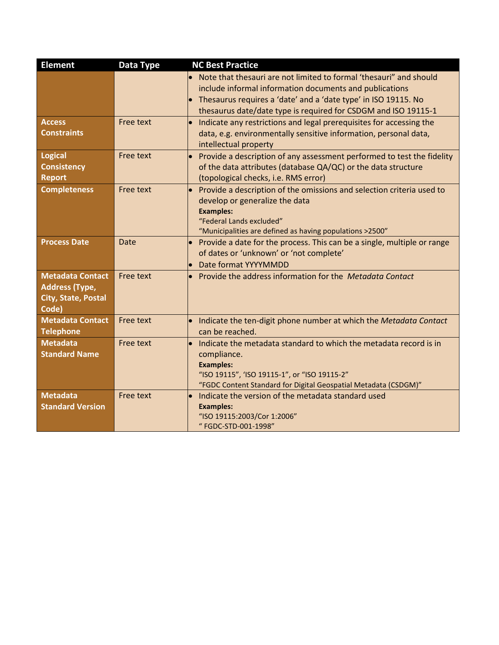| <b>Element</b>             | Data Type        | <b>NC Best Practice</b>                                                                                         |
|----------------------------|------------------|-----------------------------------------------------------------------------------------------------------------|
|                            |                  | Note that thesauri are not limited to formal 'thesauri" and should                                              |
|                            |                  | include informal information documents and publications                                                         |
|                            |                  | Thesaurus requires a 'date' and a 'date type' in ISO 19115. No                                                  |
|                            |                  | thesaurus date/date type is required for CSDGM and ISO 19115-1                                                  |
| <b>Access</b>              | <b>Free text</b> | Indicate any restrictions and legal prerequisites for accessing the<br>$\bullet$                                |
| <b>Constraints</b>         |                  | data, e.g. environmentally sensitive information, personal data,                                                |
|                            |                  | intellectual property                                                                                           |
| <b>Logical</b>             | Free text        | Provide a description of any assessment performed to test the fidelity<br>$\bullet$                             |
| <b>Consistency</b>         |                  | of the data attributes (database QA/QC) or the data structure                                                   |
| Report                     |                  | (topological checks, i.e. RMS error)                                                                            |
| <b>Completeness</b>        | Free text        | Provide a description of the omissions and selection criteria used to<br>$\bullet$                              |
|                            |                  | develop or generalize the data                                                                                  |
|                            |                  | <b>Examples:</b>                                                                                                |
|                            |                  | "Federal Lands excluded"                                                                                        |
|                            |                  | "Municipalities are defined as having populations >2500"                                                        |
| <b>Process Date</b>        | Date             | Provide a date for the process. This can be a single, multiple or range                                         |
|                            |                  | of dates or 'unknown' or 'not complete'                                                                         |
|                            |                  | Date format YYYYMMDD                                                                                            |
| <b>Metadata Contact</b>    | Free text        | Provide the address information for the Metadata Contact                                                        |
| <b>Address (Type,</b>      |                  |                                                                                                                 |
| <b>City, State, Postal</b> |                  |                                                                                                                 |
| Code)                      |                  |                                                                                                                 |
| <b>Metadata Contact</b>    | <b>Free text</b> | Indicate the ten-digit phone number at which the Metadata Contact<br>$\bullet$                                  |
| <b>Telephone</b>           |                  | can be reached.                                                                                                 |
| <b>Metadata</b>            | <b>Free text</b> | Indicate the metadata standard to which the metadata record is in                                               |
| <b>Standard Name</b>       |                  | compliance.                                                                                                     |
|                            |                  | <b>Examples:</b>                                                                                                |
|                            |                  | "ISO 19115", 'ISO 19115-1", or "ISO 19115-2"<br>"FGDC Content Standard for Digital Geospatial Metadata (CSDGM)" |
| <b>Metadata</b>            | <b>Free text</b> | Indicate the version of the metadata standard used                                                              |
| <b>Standard Version</b>    |                  | <b>Examples:</b>                                                                                                |
|                            |                  | "ISO 19115:2003/Cor 1:2006"                                                                                     |
|                            |                  | "FGDC-STD-001-1998"                                                                                             |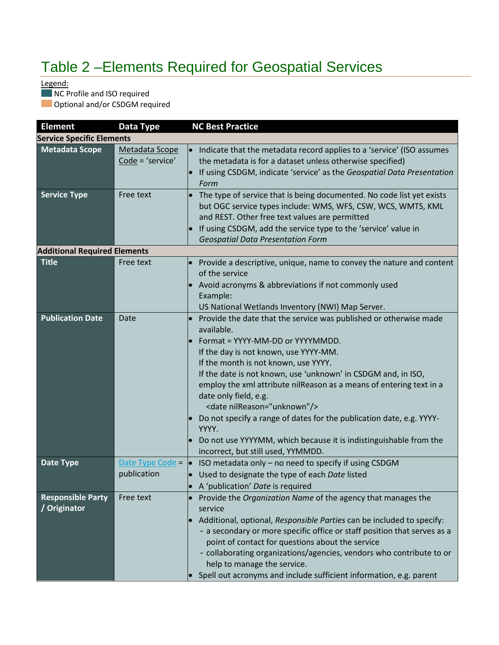# Table 2 –Elements Required for Geospatial Services

Legend:

NC Profile and ISO required

**Optional and/or CSDGM required** 

| <b>Element</b>                           | Data Type                          | <b>NC Best Practice</b>                                                                                                                                                                                                                                                                                                                                                                                                                                                                                                                                                                                             |
|------------------------------------------|------------------------------------|---------------------------------------------------------------------------------------------------------------------------------------------------------------------------------------------------------------------------------------------------------------------------------------------------------------------------------------------------------------------------------------------------------------------------------------------------------------------------------------------------------------------------------------------------------------------------------------------------------------------|
| <b>Service Specific Elements</b>         |                                    |                                                                                                                                                                                                                                                                                                                                                                                                                                                                                                                                                                                                                     |
| <b>Metadata Scope</b>                    | Metadata Scope<br>Code = 'service' | Indicate that the metadata record applies to a 'service' (ISO assumes<br>$\bullet$<br>the metadata is for a dataset unless otherwise specified)<br>If using CSDGM, indicate 'service' as the Geospatial Data Presentation<br>Form                                                                                                                                                                                                                                                                                                                                                                                   |
| <b>Service Type</b>                      | Free text                          | The type of service that is being documented. No code list yet exists<br>$\bullet$<br>but OGC service types include: WMS, WFS, CSW, WCS, WMTS, KML<br>and REST. Other free text values are permitted<br>If using CSDGM, add the service type to the 'service' value in<br><b>Geospatial Data Presentation Form</b>                                                                                                                                                                                                                                                                                                  |
| <b>Additional Required Elements</b>      |                                    |                                                                                                                                                                                                                                                                                                                                                                                                                                                                                                                                                                                                                     |
| <b>Title</b>                             | Free text                          | Provide a descriptive, unique, name to convey the nature and content<br>of the service<br>Avoid acronyms & abbreviations if not commonly used<br>Example:<br>US National Wetlands Inventory (NWI) Map Server.                                                                                                                                                                                                                                                                                                                                                                                                       |
| <b>Publication Date</b>                  | Date                               | Provide the date that the service was published or otherwise made<br>available.<br>Format = YYYY-MM-DD or YYYYMMDD.<br>$\bullet$<br>If the day is not known, use YYYY-MM.<br>If the month is not known, use YYYY.<br>If the date is not known, use 'unknown' in CSDGM and, in ISO,<br>employ the xml attribute nilReason as a means of entering text in a<br>date only field, e.g.<br><date nilreason="unknown"></date><br>Do not specify a range of dates for the publication date, e.g. YYYY-<br>YYYY.<br>Do not use YYYYMM, which because it is indistinguishable from the<br>incorrect, but still used, YYMMDD. |
| <b>Date Type</b>                         | Date Type Code =<br>publication    | ISO metadata only - no need to specify if using CSDGM<br>$\bullet$<br>Used to designate the type of each Date listed                                                                                                                                                                                                                                                                                                                                                                                                                                                                                                |
|                                          |                                    | A 'publication' Date is required                                                                                                                                                                                                                                                                                                                                                                                                                                                                                                                                                                                    |
| <b>Responsible Party</b><br>/ Originator | Free text                          | Provide the Organization Name of the agency that manages the<br>service<br>Additional, optional, Responsible Parties can be included to specify:<br>- a secondary or more specific office or staff position that serves as a<br>point of contact for questions about the service<br>- collaborating organizations/agencies, vendors who contribute to or<br>help to manage the service.<br>$\bullet$ Spell out acronyms and include sufficient information, e.g. parent                                                                                                                                             |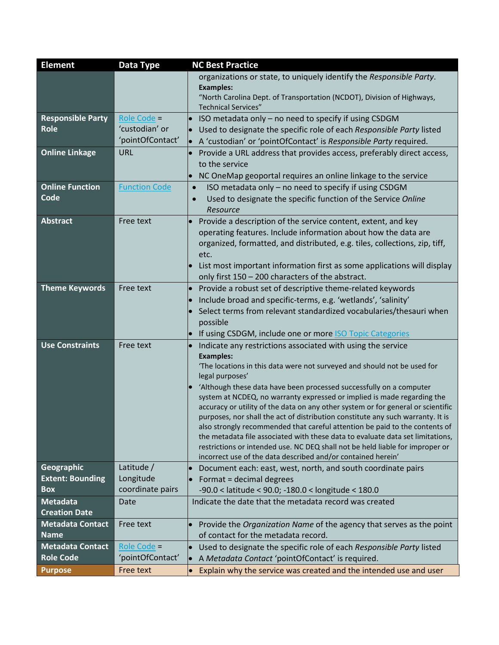| <b>Element</b>           | Data Type            | <b>NC Best Practice</b>                                                                                                                                         |
|--------------------------|----------------------|-----------------------------------------------------------------------------------------------------------------------------------------------------------------|
|                          |                      | organizations or state, to uniquely identify the Responsible Party.                                                                                             |
|                          |                      | <b>Examples:</b>                                                                                                                                                |
|                          |                      | "North Carolina Dept. of Transportation (NCDOT), Division of Highways,<br><b>Technical Services"</b>                                                            |
| <b>Responsible Party</b> | Role Code =          | ISO metadata only - no need to specify if using CSDGM                                                                                                           |
| <b>Role</b>              | 'custodian' or       | Used to designate the specific role of each Responsible Party listed                                                                                            |
|                          | 'pointOfContact'     | A 'custodian' or 'pointOfContact' is Responsible Party required.                                                                                                |
| <b>Online Linkage</b>    | URL                  | Provide a URL address that provides access, preferably direct access,                                                                                           |
|                          |                      | to the service                                                                                                                                                  |
|                          |                      | NC OneMap geoportal requires an online linkage to the service<br>$\bullet$                                                                                      |
| <b>Online Function</b>   | <b>Function Code</b> | ISO metadata only - no need to specify if using CSDGM<br>$\bullet$                                                                                              |
| Code                     |                      | Used to designate the specific function of the Service Online<br>$\bullet$                                                                                      |
|                          |                      | Resource                                                                                                                                                        |
| <b>Abstract</b>          | Free text            | Provide a description of the service content, extent, and key                                                                                                   |
|                          |                      | operating features. Include information about how the data are                                                                                                  |
|                          |                      | organized, formatted, and distributed, e.g. tiles, collections, zip, tiff,                                                                                      |
|                          |                      | etc.                                                                                                                                                            |
|                          |                      | List most important information first as some applications will display                                                                                         |
|                          |                      | only first 150 - 200 characters of the abstract.                                                                                                                |
| <b>Theme Keywords</b>    | Free text            | Provide a robust set of descriptive theme-related keywords<br>$\bullet$                                                                                         |
|                          |                      | Include broad and specific-terms, e.g. 'wetlands', 'salinity'                                                                                                   |
|                          |                      | Select terms from relevant standardized vocabularies/thesauri when                                                                                              |
|                          |                      | possible                                                                                                                                                        |
|                          |                      | If using CSDGM, include one or more <b>ISO Topic Categories</b>                                                                                                 |
| <b>Use Constraints</b>   | Free text            | Indicate any restrictions associated with using the service<br>$\bullet$                                                                                        |
|                          |                      | <b>Examples:</b><br>'The locations in this data were not surveyed and should not be used for                                                                    |
|                          |                      | legal purposes'                                                                                                                                                 |
|                          |                      | 'Although these data have been processed successfully on a computer                                                                                             |
|                          |                      | system at NCDEQ, no warranty expressed or implied is made regarding the                                                                                         |
|                          |                      | accuracy or utility of the data on any other system or for general or scientific                                                                                |
|                          |                      | purposes, nor shall the act of distribution constitute any such warranty. It is                                                                                 |
|                          |                      | also strongly recommended that careful attention be paid to the contents of                                                                                     |
|                          |                      | the metadata file associated with these data to evaluate data set limitations,<br>restrictions or intended use. NC DEQ shall not be held liable for improper or |
|                          |                      | incorrect use of the data described and/or contained herein'                                                                                                    |
| <b>Geographic</b>        | Latitude /           | Document each: east, west, north, and south coordinate pairs                                                                                                    |
| <b>Extent: Bounding</b>  | Longitude            | Format = decimal degrees                                                                                                                                        |
| <b>Box</b>               | coordinate pairs     | $-90.0 <$ latitude < 90.0; $-180.0 <$ longitude < 180.0                                                                                                         |
| <b>Metadata</b>          | Date                 | Indicate the date that the metadata record was created                                                                                                          |
| <b>Creation Date</b>     |                      |                                                                                                                                                                 |
| <b>Metadata Contact</b>  | Free text            | Provide the Organization Name of the agency that serves as the point                                                                                            |
| <b>Name</b>              |                      | of contact for the metadata record.                                                                                                                             |
| <b>Metadata Contact</b>  | Role Code =          | Used to designate the specific role of each Responsible Party listed<br>$\bullet$                                                                               |
| <b>Role Code</b>         | 'pointOfContact'     | A Metadata Contact 'pointOfContact' is required.                                                                                                                |
| <b>Purpose</b>           | Free text            | Explain why the service was created and the intended use and user<br>$\bullet$                                                                                  |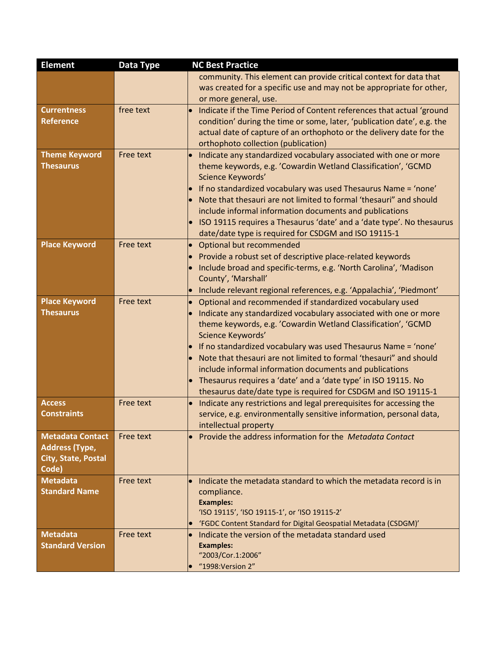| <b>Element</b>                             | Data Type | <b>NC Best Practice</b>                                                                                                                                 |
|--------------------------------------------|-----------|---------------------------------------------------------------------------------------------------------------------------------------------------------|
|                                            |           | community. This element can provide critical context for data that                                                                                      |
|                                            |           | was created for a specific use and may not be appropriate for other,                                                                                    |
|                                            |           | or more general, use.                                                                                                                                   |
| <b>Currentness</b>                         | free text | Indicate if the Time Period of Content references that actual 'ground<br>$\bullet$                                                                      |
| <b>Reference</b>                           |           | condition' during the time or some, later, 'publication date', e.g. the                                                                                 |
|                                            |           | actual date of capture of an orthophoto or the delivery date for the                                                                                    |
|                                            |           | orthophoto collection (publication)                                                                                                                     |
| <b>Theme Keyword</b>                       | Free text | Indicate any standardized vocabulary associated with one or more<br>$\bullet$                                                                           |
| <b>Thesaurus</b>                           |           | theme keywords, e.g. 'Cowardin Wetland Classification', 'GCMD                                                                                           |
|                                            |           | Science Keywords'                                                                                                                                       |
|                                            |           | If no standardized vocabulary was used Thesaurus Name = 'none'<br>Note that thesauri are not limited to formal 'thesauri" and should                    |
|                                            |           | include informal information documents and publications                                                                                                 |
|                                            |           | ISO 19115 requires a Thesaurus 'date' and a 'date type'. No thesaurus<br>$\bullet$                                                                      |
|                                            |           | date/date type is required for CSDGM and ISO 19115-1                                                                                                    |
| <b>Place Keyword</b>                       | Free text | Optional but recommended<br>$\bullet$                                                                                                                   |
|                                            |           | Provide a robust set of descriptive place-related keywords                                                                                              |
|                                            |           | Include broad and specific-terms, e.g. 'North Carolina', 'Madison                                                                                       |
|                                            |           | County', 'Marshall'                                                                                                                                     |
|                                            |           | Include relevant regional references, e.g. 'Appalachia', 'Piedmont'                                                                                     |
| <b>Place Keyword</b>                       | Free text | Optional and recommended if standardized vocabulary used<br>$\bullet$                                                                                   |
| <b>Thesaurus</b>                           |           | Indicate any standardized vocabulary associated with one or more                                                                                        |
|                                            |           | theme keywords, e.g. 'Cowardin Wetland Classification', 'GCMD                                                                                           |
|                                            |           | Science Keywords'                                                                                                                                       |
|                                            |           | If no standardized vocabulary was used Thesaurus Name = 'none'                                                                                          |
|                                            |           | Note that thesauri are not limited to formal 'thesauri" and should                                                                                      |
|                                            |           | include informal information documents and publications                                                                                                 |
|                                            |           | Thesaurus requires a 'date' and a 'date type' in ISO 19115. No                                                                                          |
|                                            |           | thesaurus date/date type is required for CSDGM and ISO 19115-1                                                                                          |
| <b>Access</b><br><b>Constraints</b>        | Free text | Indicate any restrictions and legal prerequisites for accessing the<br>$\bullet$<br>service, e.g. environmentally sensitive information, personal data, |
|                                            |           | intellectual property                                                                                                                                   |
| <b>Metadata Contact</b>                    | Free text | Provide the address information for the Metadata Contact                                                                                                |
| <b>Address (Type,</b>                      |           |                                                                                                                                                         |
| <b>City, State, Postal</b>                 |           |                                                                                                                                                         |
| Code)                                      |           |                                                                                                                                                         |
| <b>Metadata</b>                            | Free text | Indicate the metadata standard to which the metadata record is in                                                                                       |
| <b>Standard Name</b>                       |           | compliance.                                                                                                                                             |
|                                            |           | <b>Examples:</b>                                                                                                                                        |
|                                            |           | 'ISO 19115', 'ISO 19115-1', or 'ISO 19115-2'                                                                                                            |
|                                            |           | 'FGDC Content Standard for Digital Geospatial Metadata (CSDGM)'                                                                                         |
| <b>Metadata</b><br><b>Standard Version</b> | Free text | Indicate the version of the metadata standard used                                                                                                      |
|                                            |           | <b>Examples:</b><br>"2003/Cor.1:2006"                                                                                                                   |
|                                            |           | "1998: Version 2"                                                                                                                                       |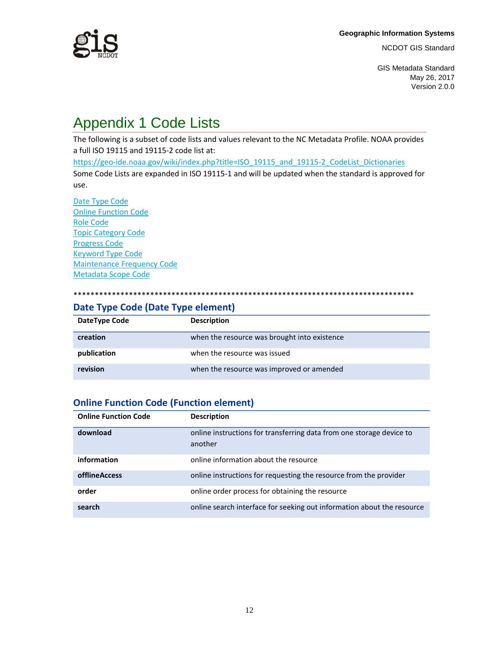

GIS Metadata Standard May 26, 2017 Version 2.0.0

# Appendix 1 Code Lists

The following is a subset of code lists and values relevant to the NC Metadata Profile. NOAA provides a full ISO 19115 and 19115-2 code list at:

[https://geo-ide.noaa.gov/wiki/index.php?title=ISO\\_19115\\_and\\_19115-2\\_CodeList\\_Dictionaries](https://geo-ide.noaa.gov/wiki/index.php?title=ISO_19115_and_19115-2_CodeList_Dictionaries)

Some Code Lists are expanded in ISO 19115-1 and will be updated when the standard is approved for use.

[Date Type Code](#page-11-0) [Online Function Code](#page-11-1) [Role Code](#page-12-0) [Topic Category Code](#page-12-1) [Progress Code](#page-15-0) [Keyword Type Code](#page-15-1) [Maintenance Frequency Code](#page-16-0) [Metadata Scope Code](#page-16-1)

#### \*\*\*\*\*\*\*\*\*\*\*\*\*\*\*\*\*\*\*\*\*\*\*\*\*\*\*\*\*\*\*\*\*\*\*\*\*\*\*\*\*\*\*\*\*\*\*\*\*\*\*\*\*\*\*\*\*\*\*\*\*\*\*\*\*\*\*\*\*\*\*\*\*\*\*\*\*\*\*\*

#### <span id="page-11-0"></span>**Date Type Code (Date Type element)**

| DateType Code | <b>Description</b>                           |
|---------------|----------------------------------------------|
| creation      | when the resource was brought into existence |
| publication   | when the resource was issued                 |
| revision      | when the resource was improved or amended    |

#### <span id="page-11-1"></span>**Online Function Code (Function element)**

| <b>Online Function Code</b> | <b>Description</b>                                                              |
|-----------------------------|---------------------------------------------------------------------------------|
| download                    | online instructions for transferring data from one storage device to<br>another |
| information                 | online information about the resource                                           |
| <b>offlineAccess</b>        | online instructions for requesting the resource from the provider               |
| order                       | online order process for obtaining the resource                                 |
| search                      | online search interface for seeking out information about the resource          |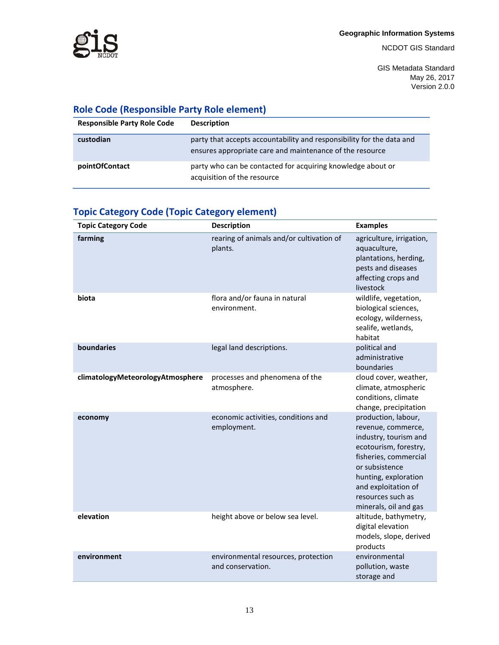

GIS Metadata Standard May 26, 2017 Version 2.0.0

### <span id="page-12-0"></span>**Role Code (Responsible Party Role element)**

| <b>Responsible Party Role Code</b> | <b>Description</b>                                                                                                                |
|------------------------------------|-----------------------------------------------------------------------------------------------------------------------------------|
| custodian                          | party that accepts accountability and responsibility for the data and<br>ensures appropriate care and maintenance of the resource |
| pointOfContact                     | party who can be contacted for acquiring knowledge about or<br>acquisition of the resource                                        |

### <span id="page-12-1"></span>**Topic Category Code (Topic Category element)**

| <b>Topic Category Code</b>       | <b>Description</b>                                       | <b>Examples</b>                                                                                                                                                                                                                     |
|----------------------------------|----------------------------------------------------------|-------------------------------------------------------------------------------------------------------------------------------------------------------------------------------------------------------------------------------------|
| farming                          | rearing of animals and/or cultivation of<br>plants.      | agriculture, irrigation,<br>aquaculture,<br>plantations, herding,<br>pests and diseases<br>affecting crops and<br>livestock                                                                                                         |
| biota                            | flora and/or fauna in natural<br>environment.            | wildlife, vegetation,<br>biological sciences,<br>ecology, wilderness,<br>sealife, wetlands,<br>habitat                                                                                                                              |
| boundaries                       | legal land descriptions.                                 | political and<br>administrative<br>boundaries                                                                                                                                                                                       |
| climatologyMeteorologyAtmosphere | processes and phenomena of the<br>atmosphere.            | cloud cover, weather,<br>climate, atmospheric<br>conditions, climate<br>change, precipitation                                                                                                                                       |
| economy                          | economic activities, conditions and<br>employment.       | production, labour,<br>revenue, commerce,<br>industry, tourism and<br>ecotourism, forestry,<br>fisheries, commercial<br>or subsistence<br>hunting, exploration<br>and exploitation of<br>resources such as<br>minerals, oil and gas |
| elevation                        | height above or below sea level.                         | altitude, bathymetry,<br>digital elevation<br>models, slope, derived<br>products                                                                                                                                                    |
| environment                      | environmental resources, protection<br>and conservation. | environmental<br>pollution, waste<br>storage and                                                                                                                                                                                    |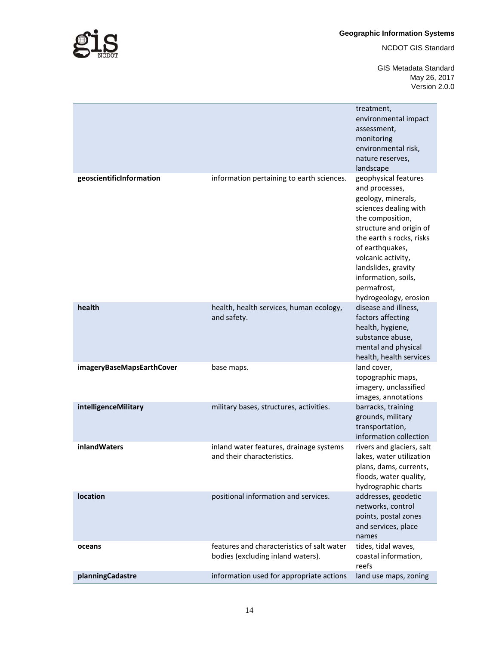**Geographic Information Systems** 

NCDOT GIS Standard

GIS Metadata Standard May 26, 2017 Version 2.0.0

|                           |                                                                                 | treatment,<br>environmental impact<br>assessment,<br>monitoring<br>environmental risk,<br>nature reserves,<br>landscape                                                                                                                                                                         |
|---------------------------|---------------------------------------------------------------------------------|-------------------------------------------------------------------------------------------------------------------------------------------------------------------------------------------------------------------------------------------------------------------------------------------------|
| geoscientificInformation  | information pertaining to earth sciences.                                       | geophysical features<br>and processes,<br>geology, minerals,<br>sciences dealing with<br>the composition,<br>structure and origin of<br>the earth s rocks, risks<br>of earthquakes,<br>volcanic activity,<br>landslides, gravity<br>information, soils,<br>permafrost,<br>hydrogeology, erosion |
| health                    | health, health services, human ecology,<br>and safety.                          | disease and illness,<br>factors affecting<br>health, hygiene,<br>substance abuse,<br>mental and physical<br>health, health services                                                                                                                                                             |
| imageryBaseMapsEarthCover | base maps.                                                                      | land cover,<br>topographic maps,<br>imagery, unclassified<br>images, annotations                                                                                                                                                                                                                |
| intelligenceMilitary      | military bases, structures, activities.                                         | barracks, training<br>grounds, military<br>transportation,<br>information collection                                                                                                                                                                                                            |
| inlandWaters              | inland water features, drainage systems<br>and their characteristics.           | rivers and glaciers, salt<br>lakes, water utilization<br>plans, dams, currents,<br>floods, water quality,<br>hydrographic charts                                                                                                                                                                |
| location                  | positional information and services.                                            | addresses, geodetic<br>networks, control<br>points, postal zones<br>and services, place<br>names                                                                                                                                                                                                |
| oceans                    | features and characteristics of salt water<br>bodies (excluding inland waters). | tides, tidal waves,<br>coastal information,<br>reefs                                                                                                                                                                                                                                            |
| planningCadastre          | information used for appropriate actions                                        | land use maps, zoning                                                                                                                                                                                                                                                                           |



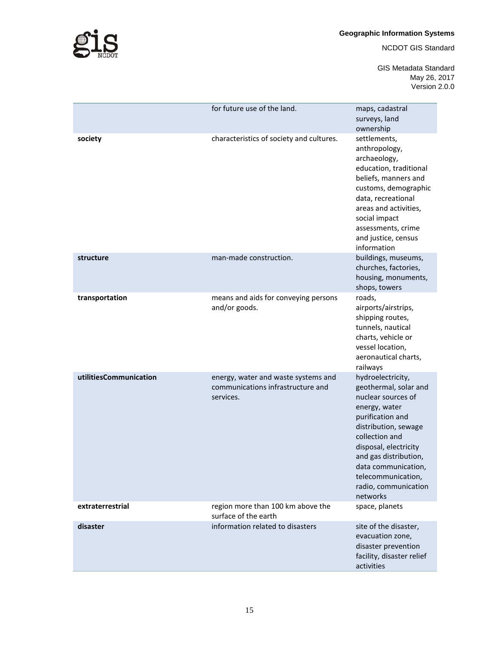

#### **Geographic Information Systems**

NCDOT GIS Standard

GIS Metadata Standard May 26, 2017 Version 2.0.0

|                        | for future use of the land.                                                           | maps, cadastral<br>surveys, land<br>ownership                                                                                                                                                                                                                                      |
|------------------------|---------------------------------------------------------------------------------------|------------------------------------------------------------------------------------------------------------------------------------------------------------------------------------------------------------------------------------------------------------------------------------|
| society                | characteristics of society and cultures.                                              | settlements,<br>anthropology,<br>archaeology,<br>education, traditional<br>beliefs, manners and<br>customs, demographic<br>data, recreational<br>areas and activities,<br>social impact<br>assessments, crime<br>and justice, census<br>information                                |
| structure              | man-made construction.                                                                | buildings, museums,<br>churches, factories,<br>housing, monuments,<br>shops, towers                                                                                                                                                                                                |
| transportation         | means and aids for conveying persons<br>and/or goods.                                 | roads,<br>airports/airstrips,<br>shipping routes,<br>tunnels, nautical<br>charts, vehicle or<br>vessel location,<br>aeronautical charts,<br>railways                                                                                                                               |
| utilitiesCommunication | energy, water and waste systems and<br>communications infrastructure and<br>services. | hydroelectricity,<br>geothermal, solar and<br>nuclear sources of<br>energy, water<br>purification and<br>distribution, sewage<br>collection and<br>disposal, electricity<br>and gas distribution,<br>data communication,<br>telecommunication,<br>radio, communication<br>networks |
| extraterrestrial       | region more than 100 km above the<br>surface of the earth                             | space, planets                                                                                                                                                                                                                                                                     |
| disaster               | information related to disasters                                                      | site of the disaster,<br>evacuation zone,<br>disaster prevention<br>facility, disaster relief<br>activities                                                                                                                                                                        |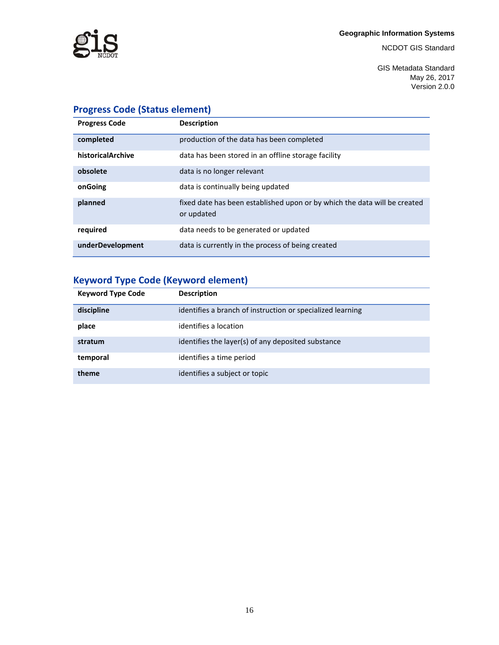

GIS Metadata Standard May 26, 2017 Version 2.0.0

## <span id="page-15-0"></span>**Progress Code (Status element)**

| <b>Progress Code</b> | <b>Description</b>                                                                      |
|----------------------|-----------------------------------------------------------------------------------------|
| completed            | production of the data has been completed                                               |
| historicalArchive    | data has been stored in an offline storage facility                                     |
| obsolete             | data is no longer relevant                                                              |
| onGoing              | data is continually being updated                                                       |
| planned              | fixed date has been established upon or by which the data will be created<br>or updated |
| required             | data needs to be generated or updated                                                   |
| underDevelopment     | data is currently in the process of being created                                       |

## <span id="page-15-1"></span>**Keyword Type Code (Keyword element)**

| <b>Keyword Type Code</b> | <b>Description</b>                                         |
|--------------------------|------------------------------------------------------------|
| discipline               | identifies a branch of instruction or specialized learning |
| place                    | identifies a location                                      |
| stratum                  | identifies the layer(s) of any deposited substance         |
| temporal                 | identifies a time period                                   |
| theme                    | identifies a subject or topic                              |